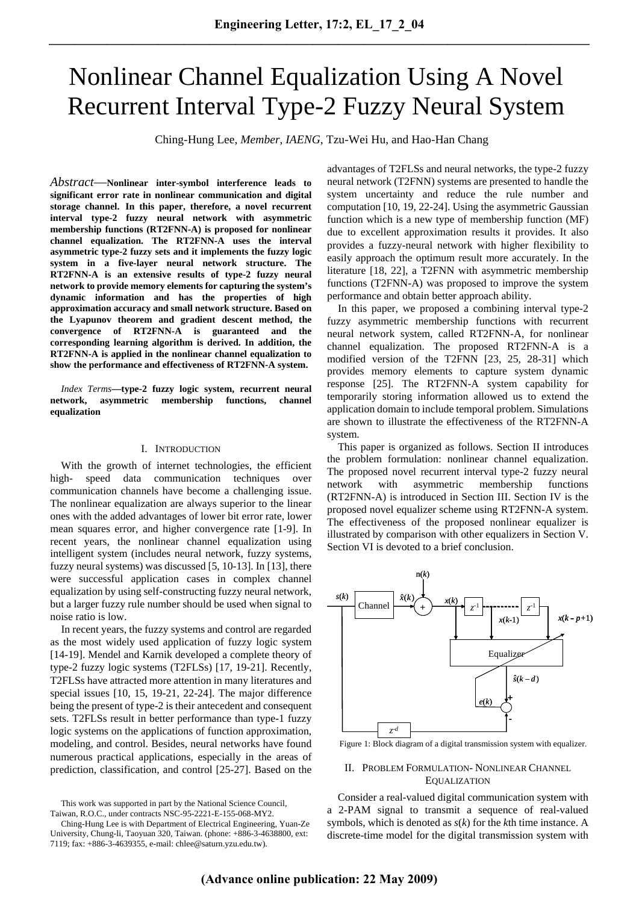# Nonlinear Channel Equalization Using A Novel Recurrent Interval Type-2 Fuzzy Neural System

Ching-Hung Lee, *Member, IAENG*, Tzu-Wei Hu, and Hao-Han Chang

*Abstract*—**Nonlinear inter-symbol interference leads to significant error rate in nonlinear communication and digital storage channel. In this paper, therefore, a novel recurrent interval type-2 fuzzy neural network with asymmetric membership functions (RT2FNN-A) is proposed for nonlinear channel equalization. The RT2FNN-A uses the interval asymmetric type-2 fuzzy sets and it implements the fuzzy logic system in a five-layer neural network structure. The RT2FNN-A is an extensive results of type-2 fuzzy neural network to provide memory elements for capturing the system's dynamic information and has the properties of high approximation accuracy and small network structure. Based on the Lyapunov theorem and gradient descent method, the convergence of RT2FNN-A is guaranteed and the corresponding learning algorithm is derived. In addition, the RT2FNN-A is applied in the nonlinear channel equalization to show the performance and effectiveness of RT2FNN-A system.** 

*Index Terms***—type-2 fuzzy logic system, recurrent neural network, asymmetric membership functions, channel equalization** 

#### I. INTRODUCTION

With the growth of internet technologies, the efficient high- speed data communication techniques over communication channels have become a challenging issue. The nonlinear equalization are always superior to the linear ones with the added advantages of lower bit error rate, lower mean squares error, and higher convergence rate [1-9]. In recent years, the nonlinear channel equalization using intelligent system (includes neural network, fuzzy systems, fuzzy neural systems) was discussed [5, 10-13]. In [13], there were successful application cases in complex channel equalization by using self-constructing fuzzy neural network, but a larger fuzzy rule number should be used when signal to noise ratio is low.

In recent years, the fuzzy systems and control are regarded as the most widely used application of fuzzy logic system [14-19]. Mendel and Karnik developed a complete theory of type-2 fuzzy logic systems (T2FLSs) [17, 19-21]. Recently, T2FLSs have attracted more attention in many literatures and special issues [10, 15, 19-21, 22-24]. The major difference being the present of type-2 is their antecedent and consequent sets. T2FLSs result in better performance than type-1 fuzzy logic systems on the applications of function approximation, modeling, and control. Besides, neural networks have found numerous practical applications, especially in the areas of prediction, classification, and control [25-27]. Based on the

advantages of T2FLSs and neural networks, the type-2 fuzzy neural network (T2FNN) systems are presented to handle the system uncertainty and reduce the rule number and computation [10, 19, 22-24]. Using the asymmetric Gaussian function which is a new type of membership function (MF) due to excellent approximation results it provides. It also provides a fuzzy-neural network with higher flexibility to easily approach the optimum result more accurately. In the literature [18, 22], a T2FNN with asymmetric membership functions (T2FNN-A) was proposed to improve the system performance and obtain better approach ability.

In this paper, we proposed a combining interval type-2 fuzzy asymmetric membership functions with recurrent neural network system, called RT2FNN-A, for nonlinear channel equalization. The proposed RT2FNN-A is a modified version of the T2FNN [23, 25, 28-31] which provides memory elements to capture system dynamic response [25]. The RT2FNN-A system capability for temporarily storing information allowed us to extend the application domain to include temporal problem. Simulations are shown to illustrate the effectiveness of the RT2FNN-A system.

This paper is organized as follows. Section II introduces the problem formulation: nonlinear channel equalization. The proposed novel recurrent interval type-2 fuzzy neural network with asymmetric membership functions (RT2FNN-A) is introduced in Section III. Section IV is the proposed novel equalizer scheme using RT2FNN-A system. The effectiveness of the proposed nonlinear equalizer is illustrated by comparison with other equalizers in Section V. Section VI is devoted to a brief conclusion.



Figure 1: Block diagram of a digital transmission system with equalizer.

#### II. PROBLEM FORMULATION- NONLINEAR CHANNEL EQUALIZATION

Consider a real-valued digital communication system with a 2-PAM signal to transmit a sequence of real-valued symbols, which is denoted as *s*(*k*) for the *k*th time instance. A discrete-time model for the digital transmission system with

This work was supported in part by the National Science Council, Taiwan, R.O.C., under contracts NSC-95-2221-E-155-068-MY2.

Ching-Hung Lee is with Department of Electrical Engineering, Yuan-Ze University, Chung-li, Taoyuan 320, Taiwan. (phone: +886-3-4638800, ext: 7119; fax: +886-3-4639355, e-mail: chlee@saturn.yzu.edu.tw).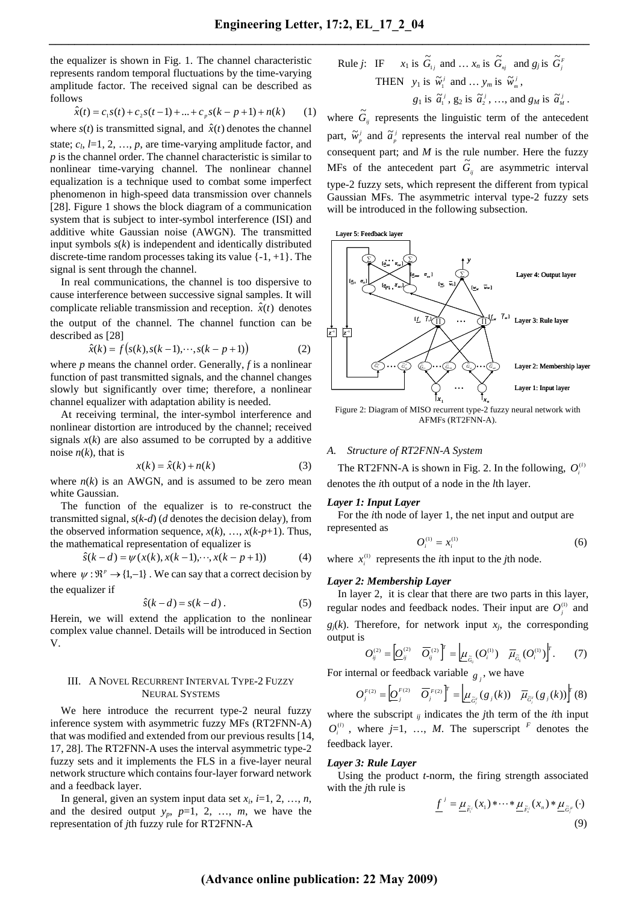the equalizer is shown in Fig. 1. The channel characteristic represents random temporal fluctuations by the time-varying amplitude factor. The received signal can be described as follows

$$
\hat{x}(t) = c_1 s(t) + c_2 s(t-1) + \dots + c_p s(k-p+1) + n(k) \tag{1}
$$

where  $s(t)$  is transmitted signal, and  $\hat{x}(t)$  denotes the channel state;  $c_l$ ,  $l=1, 2, ..., p$ , are time-varying amplitude factor, and *p* is the channel order. The channel characteristic is similar to nonlinear time-varying channel. The nonlinear channel equalization is a technique used to combat some imperfect phenomenon in high-speed data transmission over channels [28]. Figure 1 shows the block diagram of a communication system that is subject to inter-symbol interference (ISI) and additive white Gaussian noise (AWGN). The transmitted input symbols *s*(*k*) is independent and identically distributed discrete-time random processes taking its value  $\{-1, +1\}$ . The signal is sent through the channel.

In real communications, the channel is too dispersive to cause interference between successive signal samples. It will complicate reliable transmission and reception.  $\hat{x}(t)$  denotes the output of the channel. The channel function can be described as [28]

$$
\hat{x}(k) = f(s(k), s(k-1), \dots, s(k-p+1))
$$
\n(2)

where *p* means the channel order. Generally, *f* is a nonlinear function of past transmitted signals, and the channel changes slowly but significantly over time; therefore, a nonlinear channel equalizer with adaptation ability is needed.

At receiving terminal, the inter-symbol interference and nonlinear distortion are introduced by the channel; received signals  $x(k)$  are also assumed to be corrupted by a additive noise  $n(k)$ , that is

$$
x(k) = \hat{x}(k) + n(k)
$$
 (3)

where  $n(k)$  is an AWGN, and is assumed to be zero mean white Gaussian.

The function of the equalizer is to re-construct the transmitted signal, *s*(*k-d*) (*d* denotes the decision delay), from the observed information sequence,  $x(k)$ , ...,  $x(k-p+1)$ . Thus, the mathematical representation of equalizer is

$$
\hat{s}(k-d) = \psi(x(k), x(k-1), \cdots, x(k-p+1))
$$
 (4)

where  $\psi : \mathbb{R}^p \to \{1, -1\}$ . We can say that a correct decision by the equalizer if

$$
\hat{s}(k-d) = s(k-d) \,. \tag{5}
$$

Herein, we will extend the application to the nonlinear complex value channel. Details will be introduced in Section V.

#### III. A NOVEL RECURRENT INTERVAL TYPE-2 FUZZY NEURAL SYSTEMS

We here introduce the recurrent type-2 neural fuzzy inference system with asymmetric fuzzy MFs (RT2FNN-A) that was modified and extended from our previous results [14, 17, 28]. The RT2FNN-A uses the interval asymmetric type-2 fuzzy sets and it implements the FLS in a five-layer neural network structure which contains four-layer forward network and a feedback layer.

In general, given an system input data set  $x_i$ ,  $i=1, 2, ..., n$ , and the desired output  $y_p$ ,  $p=1, 2, ..., m$ , we have the representation of *j*th fuzzy rule for RT2FNN-A

Rule *j*: IF 
$$
x_1
$$
 is  $\widetilde{G}_{1j}$  and ...  $x_n$  is  $\widetilde{G}_{nj}$  and  $g_j$  is  $\widetilde{G}_j^F$   
\nTHEN  $y_1$  is  $\widetilde{w}_1^j$  and ...  $y_m$  is  $\widetilde{w}_m^j$ ,  
\n $g_1$  is  $\widetilde{a}_1^j$ ,  $g_2$  is  $\widetilde{a}_2^j$ , ..., and  $g_M$  is  $\widetilde{a}_M^j$ .

where  $\tilde{G}_{ij}$  represents the linguistic term of the antecedent part,  $\tilde{w}_p^j$  and  $\tilde{a}_p^j$  represents the interval real number of the consequent part; and *M* is the rule number. Here the fuzzy MFs of the antecedent part  $\tilde{G}_{ij}$  are asymmetric interval type-2 fuzzy sets, which represent the different from typical Gaussian MFs. The asymmetric interval type-2 fuzzy sets will be introduced in the following subsection.



Figure 2: Diagram of MISO recurrent type-2 fuzzy neural network with AFMFs (RT2FNN-A).

## *A. Structure of RT2FNN-A System*

The RT2FNN-A is shown in Fig. 2. In the following,  $O_i^{(l)}$ denotes the *i*th output of a node in the *l*th layer.

#### *Layer 1: Input Layer*

For the *i*th node of layer 1, the net input and output are represented as

$$
O_i^{(1)} = x_i^{(1)} \tag{6}
$$

where  $x_i^{(1)}$  represents the *i*th input to the *j*th node.

## *Layer 2: Membership Layer*

In layer 2, it is clear that there are two parts in this layer, regular nodes and feedback nodes. Their input are  $O_i^{(1)}$  and  $g_j(k)$ . Therefore, for network input  $x_j$ , the corresponding output is

$$
O_{ij}^{(2)} = \left[ \underline{O}_{ij}^{(2)} \quad \overline{O}_{ij}^{(2)} \right]^T = \left[ \underline{\mu}_{\tilde{G}_j} (O_i^{(1)}) \quad \overline{\mu}_{\tilde{G}_j} (O_i^{(1)}) \right]^T. \tag{7}
$$

For internal or feedback variable  $g_j$ , we have

$$
O_j^{F(2)} = \left[ \underline{O}_j^{F(2)} \quad \overline{O}_j^{F(2)} \right]^T = \left[ \underline{\mu}_{\tilde{G}_j^F}(g_j(k)) \quad \overline{\mu}_{\tilde{G}_j^F}(g_j(k)) \right]^T (8)
$$

where the subscript  $_{ij}$  indicates the *j*th term of the *i*th input  $O_i^{(i)}$ , where *j*=1, …, *M*. The superscript *F* denotes the feedback layer.

## *Layer 3: Rule Layer*

Using the product *t*-norm, the firing strength associated with the *j*th rule is

$$
\underline{f}^j = \underline{\mu}_{\tilde{F}_i^j}(x_1) * \cdots * \underline{\mu}_{\tilde{F}_n^j}(x_n) * \underline{\mu}_{\tilde{G}_j^j}(\cdot)
$$
\n(9)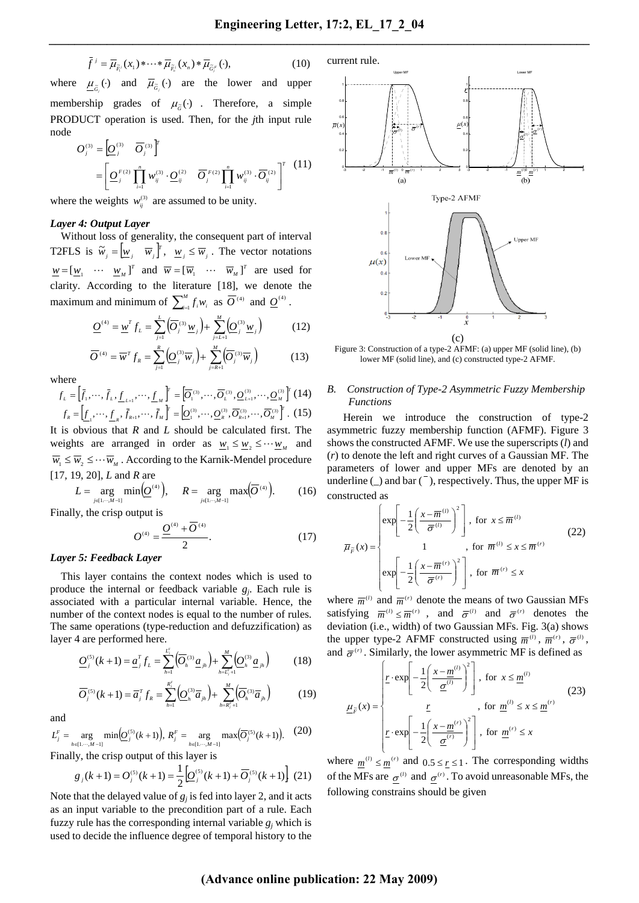$$
\bar{f}^j = \overline{\mu}_{\tilde{F}_i^j}(x_1) \ast \cdots \ast \overline{\mu}_{\tilde{F}_i^j}(x_n) \ast \overline{\mu}_{\tilde{G}_i^j}(\cdot), \tag{10}
$$

where  $\underline{\mu}_{\tilde{G}_j}(\cdot)$  and  $\overline{\mu}_{\tilde{G}_j}(\cdot)$  are the lower and upper membership grades of  $\mu_{\tilde{\sigma}}(\cdot)$ . Therefore, a simple PRODUCT operation is used. Then, for the *j*th input rule node *T*

$$
O_j^{(3)} = \left[ \underline{O}_j^{(3)} \ \overline{O}_j^{(3)} \right]^r
$$
  
= 
$$
\left[ \underline{O}_j^{F(2)} \prod_{i=1}^n w_{ij}^{(3)} \cdot \underline{O}_{ij}^{(2)} \ \overline{O}_j^{F(2)} \prod_{i=1}^n w_{ij}^{(3)} \cdot \overline{O}_{ij}^{(2)} \right]^r
$$
(11)

where the weights  $w_{ij}^{(3)}$  are assumed to be unity.

#### *Layer 4: Output Layer*

Without loss of generality, the consequent part of interval T2FLS is  $\widetilde{w}_j = \begin{bmatrix} w_j & \overline{w}_j \end{bmatrix}^T$ ,  $w_j \leq \overline{w}_j$ . The vector notations  $\underline{w} = [\underline{w}_1 \cdots \underline{w}_M]^T$  and  $\overline{w} = [\overline{w}_1 \cdots \overline{w}_M]^T$  are used for clarity. According to the literature [18], we denote the maximum and minimum of  $\sum_{i=1}^{M}$  $\sum_{i=1}^{M} f_i w_i$  as  $\overline{O}^{(4)}$  and  $\underline{O}^{(4)}$ .

$$
\underline{O}^{(4)} = \underline{w}^T f_L = \sum_{j=1}^{L} (\overline{O}_j^{(3)} \underline{w}_j) + \sum_{j=L+1}^{M} (\underline{O}_j^{(3)} \underline{w}_j)
$$
(12)

$$
\overline{O}^{(4)} = \overline{w}^T f_R = \sum_{j=1}^R \left( \underline{O}_j^{(3)} \overline{w}_j \right) + \sum_{j=R+1}^M \left( \overline{O}_j^{(3)} \overline{w}_j \right) \tag{13}
$$

where

$$
f_{L} = \left[\bar{f}_{1}, \cdots, \bar{f}_{L}, \underline{f}_{L+1}, \cdots, \underline{f}_{M}\right]^{T} = \left[\overline{O}_{1}^{(3)}, \cdots, \overline{O}_{L}^{(3)}, \underline{O}_{L+1}^{(3)}, \cdots, \underline{O}_{M}^{(3)}\right]^{T} (14)
$$

$$
f_{R} = \left[\underline{f}_{1}, \cdots, \underline{f}_{R}, \bar{f}_{R+1}, \cdots, \bar{f}_{M}\right]^{T} = \left[\underline{O}_{1}^{(3)}, \cdots, \underline{O}_{R}^{(3)}, \overline{O}_{R+1}^{(3)}, \cdots, \overline{O}_{M}^{(3)}\right]^{T} . (15)
$$

It is obvious that *R* and *L* should be calculated first. The weights are arranged in order as  $w_1 \leq w_2 \leq \cdots w_M$  and  $\overline{w}_1 \leq \overline{w}_2 \leq \cdots \overline{w}_M$ . According to the Karnik-Mendel procedure [17, 19, 20], *L* and *R* are

$$
L = \underset{j \in [1, \cdots, M-1]}{\arg \min} \Big( \underline{O}^{(4)} \Big), \quad R = \underset{j \in [1, \cdots, M-1]}{\arg \max} \Big( \overline{O}^{(4)} \Big). \tag{16}
$$

Finally, the crisp output is

$$
O^{(4)} = \frac{Q^{(4)} + \overline{O}^{(4)}}{2}.
$$
 (17)

## *Layer 5: Feedback Layer*

This layer contains the context nodes which is used to produce the internal or feedback variable *gj*. Each rule is associated with a particular internal variable. Hence, the number of the context nodes is equal to the number of rules. The same operations (type-reduction and defuzzification) as layer 4 are performed here.

$$
\underline{O}_{j}^{(5)}(k+1) = \underline{a}_{j}^{T} f_{L} = \sum_{h=1}^{L_{j}^{e}} \left( \overline{O}_{h}^{(3)} \underline{a}_{jh} \right) + \sum_{h=L_{j}^{e}+1}^{M} \left( \underline{O}_{h}^{(3)} \underline{a}_{jh} \right)
$$
(18)

$$
\overline{O}_{j}^{(s)}(k+1) = \overline{a}_{j}^{T} f_{R} = \sum_{h=1}^{R_{j}^{F}} \left( \underline{O}_{h}^{(s)} \overline{a}_{jh} \right) + \sum_{h=R_{j}^{F}+1}^{M} \left( \overline{O}_{h}^{(s)} \overline{a}_{jh} \right)
$$
(19)

and

$$
L_j^F = \underset{h \in [1, \cdots, M-1]}{\arg \min} \left( \underset{j}{\underline{O}}^{(5)}(k+1) \right), \ R_j^F = \underset{h \in [1, \cdots, M-1]}{\arg \max} \left( \overline{O}_j^{(5)}(k+1) \right). \tag{20}
$$

Finally, the crisp output of this layer is

$$
g_j(k+1) = O_j^{(5)}(k+1) = \frac{1}{2} \Big[ \underline{O}_j^{(5)}(k+1) + \overline{O}_j^{(5)}(k+1) \Big] \tag{21}
$$

Note that the delayed value of  $g_i$  is fed into layer 2, and it acts as an input variable to the precondition part of a rule. Each fuzzy rule has the corresponding internal variable  $g_i$  which is used to decide the influence degree of temporal history to the



Figure 3: Construction of a type-2 AFMF: (a) upper MF (solid line), (b) lower MF (solid line), and (c) constructed type-2 AFMF.

#### *B. Construction of Type-2 Asymmetric Fuzzy Membership Functions*

Herein we introduce the construction of type-2 asymmetric fuzzy membership function (AFMF). Figure 3 shows the constructed AFMF. We use the superscripts (*l*) and (*r*) to denote the left and right curves of a Gaussian MF. The parameters of lower and upper MFs are denoted by an underline  $\Box$  and bar  $\Box$ , respectively. Thus, the upper MF is constructed as

$$
\overline{\mu}_{\overline{F}}(x) = \begin{cases}\n\exp\left[-\frac{1}{2}\left(\frac{x-\overline{m}^{(l)}}{\overline{\sigma}^{(l)}}\right)^2\right], & \text{for } x \leq \overline{m}^{(l)} \\
1, & \text{for } \overline{m}^{(l)} \leq x \leq \overline{m}^{(r)} \\
\exp\left[-\frac{1}{2}\left(\frac{x-\overline{m}^{(r)}}{\overline{\sigma}^{(r)}}\right)^2\right], & \text{for } \overline{m}^{(r)} \leq x\n\end{cases}
$$
\n(22)

where  $\overline{m}^{(l)}$  and  $\overline{m}^{(r)}$  denote the means of two Gaussian MFs satisfying  $\overline{m}^{(l)} \leq \overline{m}^{(r)}$ , and  $\overline{\sigma}^{(l)}$  and  $\overline{\sigma}^{(r)}$  denotes the deviation (i.e., width) of two Gaussian MFs. Fig. 3(a) shows the upper type-2 AFMF constructed using  $\overline{m}^{(l)}$ ,  $\overline{m}^{(r)}$ ,  $\overline{\sigma}^{(l)}$ , and  $\bar{\sigma}^{(r)}$ . Similarly, the lower asymmetric MF is defined as

$$
\underline{\mu}_{F}(x) = \begin{cases}\n\underline{r} \cdot \exp\left[-\frac{1}{2}\left(\frac{x - \underline{m}^{(l)}}{\underline{\sigma}^{(l)}}\right)^{2}\right], & \text{for } x \leq \underline{m}^{(l)} \\
\underline{r} \cdot \exp\left[-\frac{1}{2}\left(\frac{x - \underline{m}^{(r)}}{\underline{\sigma}^{(r)}}\right)^{2}\right], & \text{for } \underline{m}^{(r)} \leq x \leq \underline{m}^{(r)}\n\end{cases} (23)
$$

where  $m^{(i)} \le m^{(r)}$  and  $0.5 \le r \le 1$ . The corresponding widths of the MFs are  $\sigma^{(l)}$  and  $\sigma^{(r)}$ . To avoid unreasonable MFs, the following constrains should be given

# **(Advance online publication: 22 May 2009)**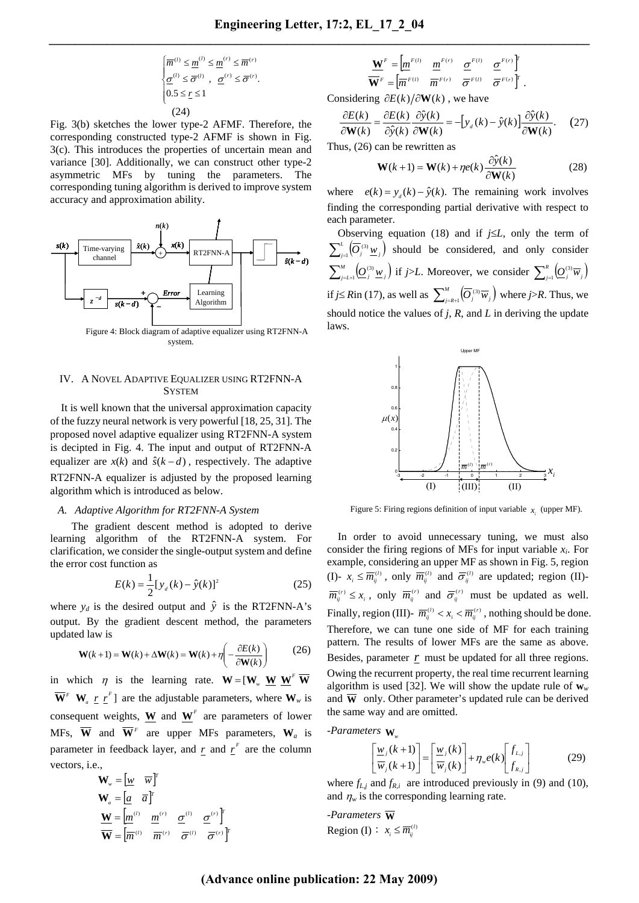$$
\begin{cases} \overline{m}^{(l)} \leq \underline{m}^{(l)} \leq \underline{m}^{(r)} \leq \overline{m}^{(r)} \\ \underline{\sigma}^{(l)} \leq \overline{\sigma}^{(l)} , \ \underline{\sigma}^{(r)} \leq \overline{\sigma}^{(r)} . \\ 0.5 \leq \underline{r} \leq 1 \end{cases}
$$
\n(24)

Fig. 3(b) sketches the lower type-2 AFMF. Therefore, the corresponding constructed type-2 AFMF is shown in Fig. 3(c). This introduces the properties of uncertain mean and variance [30]. Additionally, we can construct other type-2 asymmetric MFs by tuning the parameters. The corresponding tuning algorithm is derived to improve system accuracy and approximation ability.



Figure 4: Block diagram of adaptive equalizer using RT2FNN-A system.

## IV. A NOVEL ADAPTIVE EQUALIZER USING RT2FNN-A **SYSTEM**

It is well known that the universal approximation capacity of the fuzzy neural network is very powerful [18, 25, 31]. The proposed novel adaptive equalizer using RT2FNN-A system is decipted in Fig. 4. The input and output of RT2FNN-A equalizer are  $x(k)$  and  $\hat{s}(k - d)$ , respectively. The adaptive RT2FNN-A equalizer is adjusted by the proposed learning algorithm which is introduced as below.

## *A. Adaptive Algorithm for RT2FNN-A System*

The gradient descent method is adopted to derive learning algorithm of the RT2FNN-A system. For clarification, we consider the single-output system and define the error cost function as

$$
E(k) = \frac{1}{2} [y_d(k) - \hat{y}(k)]^2
$$
 (25)

where  $y_d$  is the desired output and  $\hat{y}$  is the RT2FNN-A's output. By the gradient descent method, the parameters updated law is

$$
\mathbf{W}(k+1) = \mathbf{W}(k) + \Delta \mathbf{W}(k) = \mathbf{W}(k) + \eta \left( -\frac{\partial E(k)}{\partial \mathbf{W}(k)} \right) \tag{26}
$$

in which  $\eta$  is the learning rate.  $\mathbf{W} = [\mathbf{W}_{w} \ \mathbf{W} \ \mathbf{W}^{\text{F}} \ \mathbf{W}$  $\overline{\mathbf{W}}^F$  **W**<sub>*a*</sub>  $\underline{r}$   $\underline{r}^F$ ] are the adjustable parameters, where  $\mathbf{W}_w$  is consequent weights, **W** and  $W^F$  are parameters of lower MFs,  $\overline{W}$  and  $\overline{W}^F$  are upper MFs parameters,  $W_a$  is parameter in feedback layer, and  $r$  and  $r<sup>r</sup>$  are the column vectors, i.e.,

$$
\mathbf{W}_{w} = \begin{bmatrix} \underline{w} & \overline{w} \end{bmatrix}^{T}
$$

$$
\mathbf{W}_{a} = \begin{bmatrix} \underline{a} & \overline{a} \end{bmatrix}^{T}
$$

$$
\mathbf{W} = \begin{bmatrix} \underline{m}^{(i)} & \underline{m}^{(r)} & \underline{\sigma}^{(i)} & \underline{\sigma}^{(r)} \end{bmatrix}^{T}
$$

$$
\overline{\mathbf{W}} = \begin{bmatrix} \overline{m}^{(i)} & \overline{m}^{(r)} & \overline{\sigma}^{(i)} & \overline{\sigma}^{(r)} \end{bmatrix}^{T}
$$

$$
\frac{\mathbf{W}^F}{\mathbf{W}^F} = \begin{bmatrix} m^{F(l)} & m^{F(r)} & \underline{\sigma}^{F(l)} & \underline{\sigma}^{F(r)} \end{bmatrix}^T
$$

$$
\overline{\mathbf{W}}^F = \begin{bmatrix} \overline{m}^{F(l)} & \overline{m}^{F(r)} & \overline{\sigma}^{F(l)} & \overline{\sigma}^{F(r)} \end{bmatrix}^T.
$$

Considering ∂*E*(*k*) ∂**W**(*k*) , we have

$$
\frac{\partial E(k)}{\partial \mathbf{W}(k)} = \frac{\partial E(k)}{\partial \hat{y}(k)} \frac{\partial \hat{y}(k)}{\partial \mathbf{W}(k)} = -[y_{d}(k) - \hat{y}(k)] \frac{\partial \hat{y}(k)}{\partial \mathbf{W}(k)}.
$$
 (27)

Thus, (26) can be rewritten as

$$
\mathbf{W}(k+1) = \mathbf{W}(k) + \eta e(k) \frac{\partial \hat{y}(k)}{\partial \mathbf{W}(k)}
$$
(28)

where  $e(k) = y_a(k) - \hat{y}(k)$ . The remaining work involves finding the corresponding partial derivative with respect to each parameter.

Observing equation (18) and if *j*≤*L*, only the term of  $\sum_{j=1}^{L} (\overline{O}_{j}^{(3)} \underline{w}_{j})$  should be considered, and only consider  $\sum_{j=1}^{M} \left( Q_j^{(3)} \underline{w}_j \right)$  if *j*>*L*. Moreover, we consider  $\sum_{j=1}^{R} \left( Q_j^{(3)} \overline{w}_j \right)$ *if j≤ Rin* (17), as well as  $\sum_{j=R+1}^{M} (\overline{O}_j^{(3)} \overline{w}_j)$  where *j*>*R*. Thus, we should notice the values of *j*, *R*, and *L* in deriving the update laws.



Figure 5: Firing regions definition of input variable  $x_i$  (upper MF).

In order to avoid unnecessary tuning, we must also consider the firing regions of MFs for input variable  $x_i$ . For example, considering an upper MF as shown in Fig. 5, region (I)-  $x_i \leq \overline{m}_{ij}^{(l)}$ , only  $\overline{m}_{ij}^{(l)}$  and  $\overline{\sigma}_{ij}^{(l)}$  are updated; region (II)- $\overline{m}_{ij}^{(r)} \leq x_i$ , only  $\overline{m}_{ij}^{(r)}$  and  $\overline{\sigma}_{ij}^{(r)}$  must be updated as well. Finally, region (III)-  $\overline{m}_{ij}^{(l)} < x_i < \overline{m}_{ij}^{(r)}$ , nothing should be done. Therefore, we can tune one side of MF for each training pattern. The results of lower MFs are the same as above. Besides, parameter  $r$  must be updated for all three regions. Owing the recurrent property, the real time recurrent learning algorithm is used [32]. We will show the update rule of  $w_w$ and  $\overline{W}$  only. Other parameter's updated rule can be derived the same way and are omitted.

*-Parameters* **W***<sup>w</sup>*

$$
\left[\frac{\underline{w}_j(k+1)}{\overline{w}_j(k+1)}\right] = \left[\frac{\underline{w}_j(k)}{\overline{w}_j(k)}\right] + \eta_w e(k) \left[f_{L,j}\right] \tag{29}
$$

where  $f_{Lj}$  and  $f_{R,i}$  are introduced previously in (9) and (10), and  $\eta_w$  is the corresponding learning rate.

*-Parameters* **W** Region (I) :  $x_i \leq \overline{m}_{ij}^{(l)}$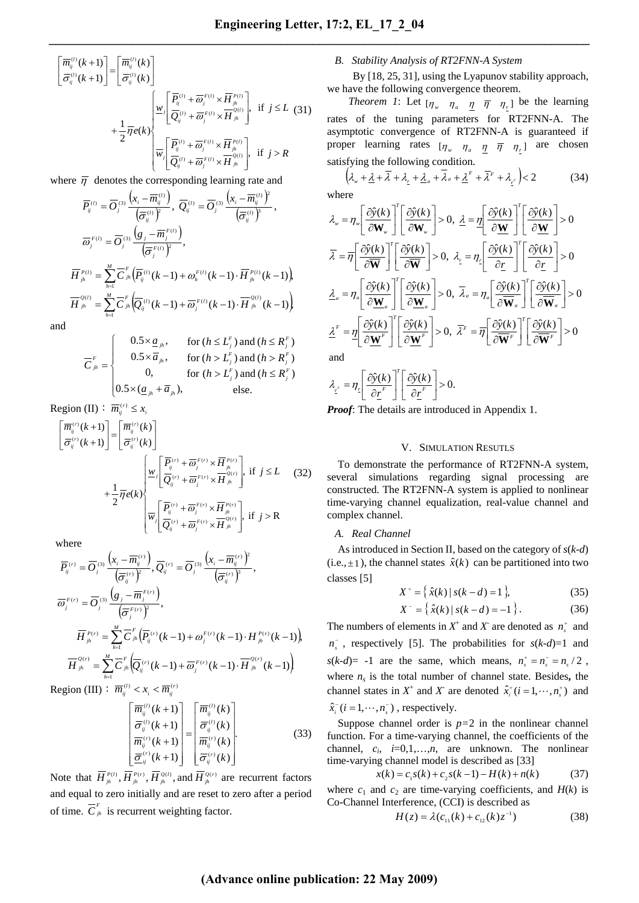$$
\begin{bmatrix}\n\overline{m}_{ij}^{(i)}(k+1) \\
\overline{\sigma}_{ij}^{(i)}(k+1)\n\end{bmatrix} = \begin{bmatrix}\n\overline{m}_{ij}^{(i)}(k) \\
\overline{\sigma}_{ij}^{(i)}(k)\n\end{bmatrix} \\
+ \frac{1}{2}\overline{\eta}e(k)\n\begin{bmatrix}\n\overline{P}_{ij}^{(i)} + \overline{\omega}_{j}^{F(i)} \times \overline{H}_{jk}^{P(i)} \\
\overline{Q}_{ij}^{(i)} + \overline{\omega}_{j}^{F(i)} \times \overline{H}_{jk}^{Q(i)}\n\end{bmatrix}, \text{ if } j \le L \text{ (31)}
$$

where  $\bar{\eta}$  denotes the corresponding learning rate and

$$
\overline{P}_{ij}^{(l)} = \overline{O}_{j}^{(3)} \frac{\left(x_{i} - \overline{m}_{ij}^{(l)}\right)}{\left(\overline{\sigma}_{ij}^{(l)}\right)^{2}}, \ \overline{Q}_{ij}^{(l)} = \overline{O}_{j}^{(3)} \frac{\left(x_{i} - \overline{m}_{ij}^{(l)}\right)^{2}}{\left(\overline{\sigma}_{ij}^{(l)}\right)^{3}},
$$
\n
$$
\overline{\omega}_{j}^{F(l)} = \overline{O}_{j}^{(3)} \frac{\left(g_{j} - \overline{m}_{j}^{F(l)}\right)}{\left(\overline{\sigma}_{j}^{F(l)}\right)^{2}},
$$
\n
$$
\overline{H}_{jh}^{P(l)} = \sum_{h=1}^{M} \overline{C}_{jh}^{F} \left(\overline{P}_{ij}^{(l)}(k-1) + \omega_{h}^{F(l)}(k-1) \cdot \overline{H}_{jh}^{P(l)}(k-1)\right),
$$
\n
$$
\overline{H}_{jh}^{Q(l)} = \sum_{h=1}^{M} \overline{C}_{jh}^{F} \left(\overline{Q}_{ij}^{(l)}(k-1) + \overline{\omega}_{j}^{F(l)}(k-1) \cdot \overline{H}_{jh}^{Q(l)}(k-1)\right).
$$

and

$$
\overline{C}_{jk}^{F} = \begin{cases}\n0.5 \times \underline{a}_{jk}, & \text{for } (h \le L_{j}^{F}) \text{ and } (h \le R_{j}^{F}) \\
0.5 \times \overline{a}_{jk}, & \text{for } (h > L_{j}^{F}) \text{ and } (h > R_{j}^{F}) \\
0, & \text{for } (h > L_{j}^{F}) \text{ and } (h \le R_{j}^{F}) \\
0.5 \times (\underline{a}_{jk} + \overline{a}_{jk}), & \text{else.} \n\end{cases}
$$

Region (II)  $\overline{m}_{ij}^{(r)} \leq x_{ij}$ 

$$
\begin{aligned}\n\left[\overline{m}_{ij}^{(r)}(k+1)\right] &= \left[\overline{m}_{ij}^{(r)}(k)\right] \\
\overline{\sigma}_{ij}^{(r)}(k+1) &= \left[\overline{\sigma}_{ij}^{(r)}(k)\right] \\
&+ \frac{1}{2}\overline{\eta}e(k)\n\end{aligned}\n\bigg|\n\begin{aligned}\n\frac{w_j}{Q_{ij}}\left[\frac{\overline{P}_{ij}^{(r)} + \overline{\omega}_{j}^{F(r)} \times \overline{H}_{jk}^{P(r)}}{\overline{Q}_{ij}^{F(r)} + \overline{\omega}_{j}^{F(r)} \times \overline{H}_{jk}^{P(r)}}\right], \text{ if } j \le L \quad (32) \\
\frac{1}{w_j}\left[\overline{P}_{ij}^{(r)} + \overline{\omega}_{j}^{F(r)} \times \overline{H}_{jk}^{P(r)}}\right], \text{ if } j > R\n\end{aligned}
$$

where

$$
\overline{P}_{ij}^{(r)} = \overline{O}_{j}^{(3)} \frac{\left(x_{i} - \overline{m}_{ij}^{(r)}\right)}{\left(\overline{\sigma}_{ij}^{(r)}\right)^{2}}, \overline{Q}_{ij}^{(r)} = \overline{O}_{j}^{(3)} \frac{\left(x_{i} - \overline{m}_{ij}^{(r)}\right)^{2}}{\left(\overline{\sigma}_{ij}^{(r)}\right)^{3}},
$$
\n
$$
\overline{\omega}_{j}^{F(r)} = \overline{O}_{j}^{(3)} \frac{\left(g_{j} - \overline{m}_{j}^{F(r)}\right)}{\left(\overline{\sigma}_{j}^{F(r)}\right)^{2}},
$$
\n
$$
\overline{H}_{ji}^{P(r)} = \sum_{h=1}^{M} \overline{C}_{jh}^{F} \left(\overline{P}_{ij}^{(r)}(k-1) + \omega_{j}^{F(r)}(k-1) \cdot H_{ji}^{P(r)}(k-1)\right),
$$
\n
$$
\overline{H}_{ji}^{Q(r)} = \sum_{h=1}^{M} \overline{C}_{jh}^{F} \left(\overline{Q}_{ij}^{(r)}(k-1) + \overline{\omega}_{j}^{F(r)}(k-1) \cdot \overline{H}_{ji}^{Q(r)}(k-1)\right).
$$
\n
$$
\vdots \quad \text{and} \quad \overline{H}_{j}^{(r)} = \overline{W}_{j}^{(r)} = \overline{W}_{j}^{(r)} = \overline{W}_{j}^{(r)} = \overline{W}_{j}^{(r)} = \overline{W}_{j}^{(r)} = \overline{W}_{j}^{(r)} = \overline{W}_{j}^{(r)} = \overline{W}_{j}^{(r)} = \overline{W}_{j}^{(r)} = \overline{W}_{j}^{(r)} = \overline{W}_{j}^{(r)} = \overline{W}_{j}^{(r)} = \overline{W}_{j}^{(r)} = \overline{W}_{j}^{(r)} = \overline{W}_{j}^{(r)} = \overline{W}_{j}^{(r)} = \overline{W}_{j}^{(r)} = \overline{W}_{j}^{(r)} = \overline{W}_{j}^{(r)} = \overline{W}_{j}^{(r)} = \overline{W}_{j}^{(r)} = \overline{W}_{j}^{(r)} = \overline{W}_{j}^{(r)} = \overline{W}_{j}^{(r)} = \
$$

Region (III)  $\colon \overline{m}_{ij}^{(l)} < x_i < \overline{m}_{ij}^{(r)}$ 

$$
\begin{bmatrix}\n\overline{m}_{ij}^{(l)}(k+1) \\
\overline{\sigma}_{ij}^{(l)}(k+1) \\
\overline{m}_{ij}^{(r)}(k+1) \\
\overline{\underline{\sigma}}_{ij}^{(r)}(k+1)\n\end{bmatrix} = \begin{bmatrix}\n\overline{m}_{ij}^{(l)}(k) \\
\overline{\sigma}_{ij}^{(l)}(k) \\
\overline{m}_{ij}^{(r)}(k)\n\end{bmatrix}.
$$
\n(33)

Note that  $\overline{H}_{jh}^{P(1)}, \overline{H}_{jh}^{P(r)}, \overline{H}_{jh}^{Q(1)},$  and  $\overline{H}_{jh}^{Q(r)}$  are recurrent factors and equal to zero initially and are reset to zero after a period of time.  $\overline{C}_{jk}^F$  is recurrent weighting factor.

## *B. Stability Analysis of RT2FNN-A System*

By [18, 25, 31], using the Lyapunov stability approach, we have the following convergence theorem.

*Theorem 1*: Let  $\begin{bmatrix} \eta_w & \eta_a & \eta & \overline{\eta} & \eta_c \end{bmatrix}$  be the learning rates of the tuning parameters for RT2FNN-A. The asymptotic convergence of RT2FNN-A is guaranteed if proper learning rates  $\left[\eta_{w}$   $\eta_{a}$   $\eta_{a}$   $\overline{\eta}$   $\eta_{r}$  are chosen satisfying the following condition.

$$
\left(\lambda_{w} + \underline{\lambda} + \overline{\lambda} + \lambda_{z} + \underline{\lambda}_{a} + \overline{\lambda}_{a} + \underline{\lambda}^{F} + \overline{\lambda}^{F} + \lambda_{z'}\right) < 2\tag{34}
$$

where

$$
\lambda_{w} = \eta_{w} \left[ \frac{\partial \hat{y}(k)}{\partial \mathbf{W}_{w}} \right]^{T} \left[ \frac{\partial \hat{y}(k)}{\partial \mathbf{W}_{w}} \right] > 0, \ \ \underline{\lambda} = \underline{\eta} \left[ \frac{\partial \hat{y}(k)}{\partial \mathbf{W}} \right]^{T} \left[ \frac{\partial \hat{y}(k)}{\partial \mathbf{W}} \right] > 0
$$
\n
$$
\overline{\lambda} = \overline{\eta} \left[ \frac{\partial \hat{y}(k)}{\partial \overline{\mathbf{W}}} \right]^{T} \left[ \frac{\partial \hat{y}(k)}{\partial \overline{\mathbf{W}}} \right] > 0, \ \ \lambda_{\underline{r}} = \eta_{\underline{r}} \left[ \frac{\partial \hat{y}(k)}{\partial \underline{r}} \right]^{T} \left[ \frac{\partial \hat{y}(k)}{\partial \underline{r}} \right] > 0
$$
\n
$$
\underline{\lambda}_{a} = \eta_{a} \left[ \frac{\partial \hat{y}(k)}{\partial \mathbf{W}_{a}} \right]^{T} \left[ \frac{\partial \hat{y}(k)}{\partial \mathbf{W}_{a}} \right] > 0, \ \ \overline{\lambda}_{a} = \eta_{a} \left[ \frac{\partial \hat{y}(k)}{\partial \overline{\mathbf{W}}_{a}} \right]^{T} \left[ \frac{\partial \hat{y}(k)}{\partial \overline{\mathbf{W}}_{a}} \right] > 0
$$
\n
$$
\underline{\lambda}^{F} = \underline{\eta} \left[ \frac{\partial \hat{y}(k)}{\partial \mathbf{W}^{F}} \right]^{T} \left[ \frac{\partial \hat{y}(k)}{\partial \mathbf{W}^{F}} \right] > 0, \ \ \overline{\lambda}^{F} = \overline{\eta} \left[ \frac{\partial \hat{y}(k)}{\partial \overline{\mathbf{W}}^{F}} \right]^{T} \left[ \frac{\partial \hat{y}(k)}{\partial \overline{\mathbf{W}}^{F}} \right] > 0
$$
\nand

$$
\lambda_{\underline{r}} = \eta_{\underline{r}} \left[ \frac{\partial \hat{y}(k)}{\partial \underline{r}^F} \right]^T \left[ \frac{\partial \hat{y}(k)}{\partial \underline{r}^F} \right] > 0.
$$

*Proof*: The details are introduced in Appendix 1.

## V. SIMULATION RESUTLS

To demonstrate the performance of RT2FNN-A system, several simulations regarding signal processing are constructed. The RT2FNN-A system is applied to nonlinear time-varying channel equalization, real-value channel and complex channel.

## *A. Real Channel*

As introduced in Section II, based on the category of *s*(*k-d*) (i.e.,  $\pm$ 1), the channel states  $\hat{x}(k)$  can be partitioned into two classes [5]

$$
X^+ = \{ \hat{x}(k) \mid s(k-d) = 1 \},\tag{35}
$$

$$
X^{-} = \{ \hat{x}(k) \mid s(k - d) = -1 \}.
$$
 (36)

The numbers of elements in  $X^+$  and  $X^-$  are denoted as  $n_s^+$  and  $n_s^-$ , respectively [5]. The probabilities for  $s(k-d)=1$  and  $s(k-d)= -1$  are the same, which means,  $n_s^+ = n_s^- = n_s / 2$ , where  $n<sub>s</sub>$  is the total number of channel state. Besides, the channel states in  $X^+$  and  $X$  are denoted  $\hat{x}_i^+(i=1,\dots,n_s^+)$  and

$$
\hat{x}_i^-(i=1,\cdots,n_s^-)
$$
, respectively.

Suppose channel order is  $p=2$  in the nonlinear channel function. For a time-varying channel, the coefficients of the channel, *ci*, *i*=0,1,…,*n*, are unknown. The nonlinear time-varying channel model is described as [33]

$$
x(k) = c_1 s(k) + c_2 s(k-1) - H(k) + n(k)
$$
 (37)

where  $c_1$  and  $c_2$  are time-varying coefficients, and  $H(k)$  is Co-Channel Interference, (CCI) is described as

$$
H(z) = \lambda (c_{11}(k) + c_{12}(k)z^{-1})
$$
 (38)

## **(Advance online publication: 22 May 2009)**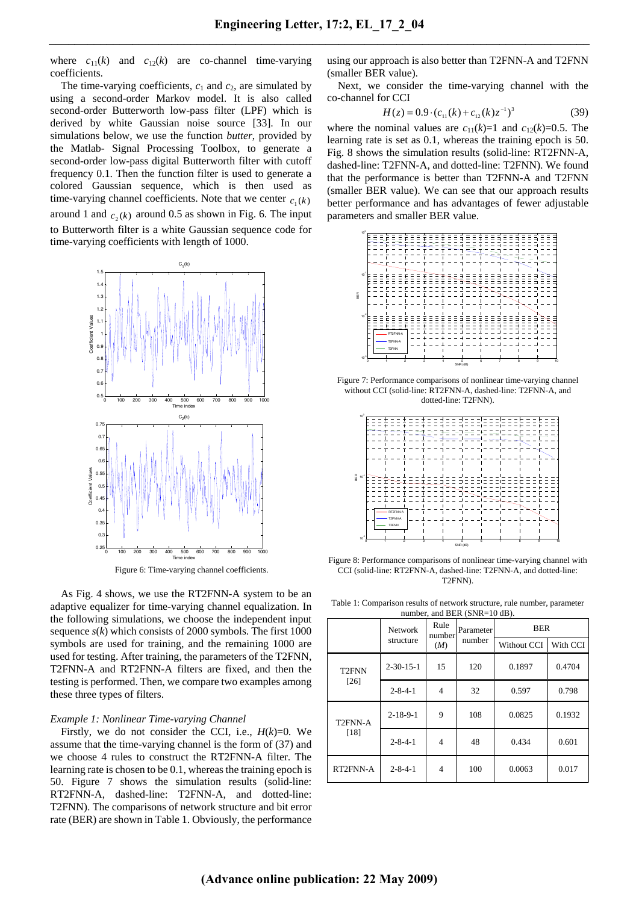where  $c_{11}(k)$  and  $c_{12}(k)$  are co-channel time-varying coefficients.

The time-varying coefficients,  $c_1$  and  $c_2$ , are simulated by using a second-order Markov model. It is also called second-order Butterworth low-pass filter (LPF) which is derived by white Gaussian noise source [33]. In our simulations below, we use the function *butter*, provided by the Matlab- Signal Processing Toolbox, to generate a second-order low-pass digital Butterworth filter with cutoff frequency 0.1. Then the function filter is used to generate a colored Gaussian sequence, which is then used as time-varying channel coefficients. Note that we center  $c_1(k)$ around 1 and  $c_2(k)$  around 0.5 as shown in Fig. 6. The input to Butterworth filter is a white Gaussian sequence code for time-varying coefficients with length of 1000.



Figure 6: Time-varying channel coefficients.

As Fig. 4 shows, we use the RT2FNN-A system to be an adaptive equalizer for time-varying channel equalization. In the following simulations, we choose the independent input sequence *s*(*k*) which consists of 2000 symbols. The first 1000 symbols are used for training, and the remaining 1000 are used for testing. After training, the parameters of the T2FNN, T2FNN-A and RT2FNN-A filters are fixed, and then the testing is performed. Then, we compare two examples among these three types of filters.

#### *Example 1: Nonlinear Time-varying Channel*

Firstly, we do not consider the CCI, i.e.,  $H(k)=0$ . We assume that the time-varying channel is the form of (37) and we choose 4 rules to construct the RT2FNN-A filter. The learning rate is chosen to be 0.1, whereas the training epoch is 50. Figure 7 shows the simulation results (solid-line: RT2FNN-A, dashed-line: T2FNN-A, and dotted-line: T2FNN). The comparisons of network structure and bit error rate (BER) are shown in Table 1. Obviously, the performance using our approach is also better than T2FNN-A and T2FNN (smaller BER value).

Next, we consider the time-varying channel with the co-channel for CCI

$$
H(z) = 0.9 \cdot (c_{11}(k) + c_{12}(k)z^{-1})^3 \tag{39}
$$

where the nominal values are  $c_{11}(k)=1$  and  $c_{12}(k)=0.5$ . The learning rate is set as 0.1, whereas the training epoch is 50. Fig. 8 shows the simulation results (solid-line: RT2FNN-A, dashed-line: T2FNN-A, and dotted-line: T2FNN). We found that the performance is better than T2FNN-A and T2FNN (smaller BER value). We can see that our approach results better performance and has advantages of fewer adjustable parameters and smaller BER value.



Figure 7: Performance comparisons of nonlinear time-varying channel without CCI (solid-line: RT2FNN-A, dashed-line: T2FNN-A, and dotted-line: T2FNN).



Figure 8: Performance comparisons of nonlinear time-varying channel with CCI (solid-line: RT2FNN-A, dashed-line: T2FNN-A, and dotted-line: T2FNN).

Table 1: Comparison results of network structure, rule number, parameter number, and  $BED$  (SND $-10$  dB).

| $m$ $m$ $m$ $n$ $m$ $n$ $m$ $m$ $m$ $m$ $m$ $n$ |                             |                |                     |             |          |  |  |  |
|-------------------------------------------------|-----------------------------|----------------|---------------------|-------------|----------|--|--|--|
|                                                 | <b>Network</b><br>structure | Rule<br>number | Parameter<br>number | <b>BER</b>  |          |  |  |  |
|                                                 |                             | (M)            |                     | Without CCI | With CCI |  |  |  |
| T <sub>2</sub> FNN<br>$[26]$                    | $2 - 30 - 15 - 1$           | 15             | 120                 | 0.1897      | 0.4704   |  |  |  |
|                                                 | $2 - 8 - 4 - 1$             | 4              | 32                  | 0.597       | 0.798    |  |  |  |
| T2FNN-A<br>$[18]$                               | $2 - 18 - 9 - 1$            | 9              | 108                 | 0.0825      | 0.1932   |  |  |  |
|                                                 | $2 - 8 - 4 - 1$             | $\overline{4}$ | 48                  | 0.434       | 0.601    |  |  |  |
| RT2FNN-A                                        | $2 - 8 - 4 - 1$             | 4              | 100                 | 0.0063      | 0.017    |  |  |  |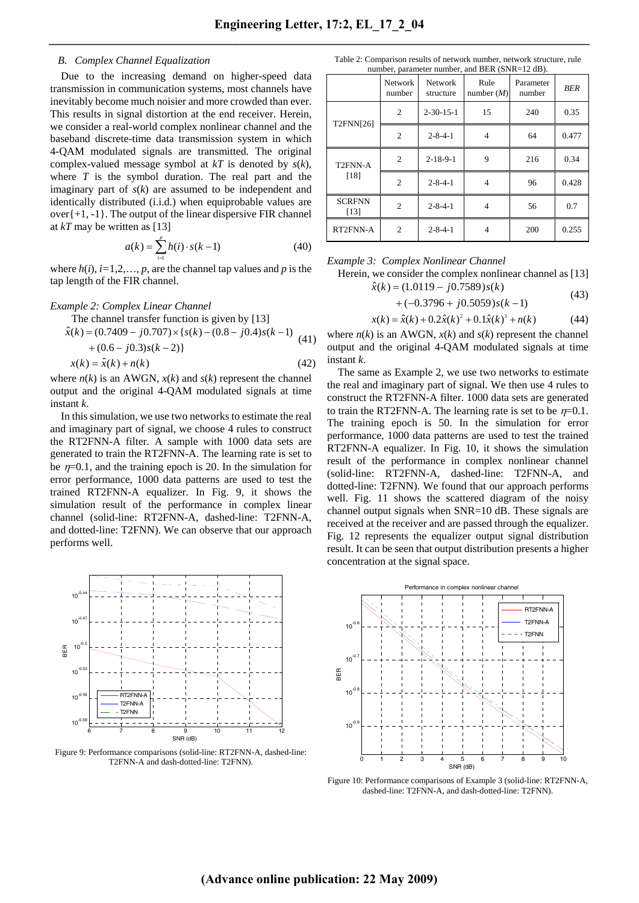## *B. Complex Channel Equalization*

Due to the increasing demand on higher-speed data transmission in communication systems, most channels have inevitably become much noisier and more crowded than ever. This results in signal distortion at the end receiver. Herein, we consider a real-world complex nonlinear channel and the baseband discrete-time data transmission system in which 4-QAM modulated signals are transmitted. The original complex-valued message symbol at *kT* is denoted by *s*(*k*), where *T* is the symbol duration. The real part and the imaginary part of *s*(*k*) are assumed to be independent and identically distributed (i.i.d.) when equiprobable values are over $\{+1, -1\}$ . The output of the linear dispersive FIR channel at *kT* may be written as [13]

$$
a(k) = \sum_{i=1}^{p} h(i) \cdot s(k-1)
$$
 (40)

where  $h(i)$ ,  $i=1,2,..., p$ , are the channel tap values and *p* is the tap length of the FIR channel.

#### *Example 2: Complex Linear Channel*

The channel transfer function is given by [13]

$$
\hat{x}(k) = (0.7409 - j0.707) \times \{s(k) - (0.8 - j0.4)s(k-1) + (0.6 - j0.3)s(k-2)\}\
$$
\n(41)

$$
x(k) = \hat{x}(k) + n(k)
$$
\n(42)

where  $n(k)$  is an AWGN,  $x(k)$  and  $s(k)$  represent the channel output and the original 4-QAM modulated signals at time instant *k*.

In this simulation, we use two networks to estimate the real and imaginary part of signal, we choose 4 rules to construct the RT2FNN-A filter. A sample with 1000 data sets are generated to train the RT2FNN-A. The learning rate is set to be  $\eta$ =0.1, and the training epoch is 20. In the simulation for error performance, 1000 data patterns are used to test the trained RT2FNN-A equalizer. In Fig. 9, it shows the simulation result of the performance in complex linear channel (solid-line: RT2FNN-A, dashed-line: T2FNN-A, and dotted-line: T2FNN). We can observe that our approach performs well.



Figure 9: Performance comparisons (solid-line: RT2FNN-A, dashed-line: T2FNN-A and dash-dotted-line: T2FNN).

Table 2: Comparison results of network number, network structure, rule number, parameter number, and BER  $(SNR=12$  dB).

|                       | $m$ and $m$ and $m$ and $m$ and $m$ and $m$ and $m$<br>Rule<br><b>Network</b><br><b>Network</b><br>Parameter |                   |              |        |       |
|-----------------------|--------------------------------------------------------------------------------------------------------------|-------------------|--------------|--------|-------|
|                       | number                                                                                                       | structure         | number $(M)$ | number | BER   |
| T2FNN[26]             | 2                                                                                                            | $2 - 30 - 15 - 1$ | 15           | 240    | 0.35  |
|                       | 2                                                                                                            | $2 - 8 - 4 - 1$   | 4            | 64     | 0.477 |
| T2FNN-A<br>[18]       | $\overline{c}$                                                                                               | $2 - 18 - 9 - 1$  | 9            | 216    | 0.34  |
|                       | $\overline{2}$                                                                                               | $2 - 8 - 4 - 1$   | 4            | 96     | 0.428 |
| <b>SCRFNN</b><br>[13] | $\overline{c}$                                                                                               | $2 - 8 - 4 - 1$   | 4            | 56     | 0.7   |
| RT2FNN-A              | 2                                                                                                            | $2 - 8 - 4 - 1$   |              | 200    | 0.255 |

#### *Example 3: Complex Nonlinear Channel*

Herein, we consider the complex nonlinear channel as [13]

$$
\hat{x}(k) = (1.0119 - j0.7589)s(k)
$$
\n(43)

$$
+(-0.3796 + j0.5059)s(k-1)
$$

$$
x(k) = \hat{x}(k) + 0.2\hat{x}(k)^{2} + 0.1\hat{x}(k)^{3} + n(k)
$$
 (44)

where  $n(k)$  is an AWGN,  $x(k)$  and  $s(k)$  represent the channel output and the original 4-QAM modulated signals at time instant *k*.

The same as Example 2, we use two networks to estimate the real and imaginary part of signal. We then use 4 rules to construct the RT2FNN-A filter. 1000 data sets are generated to train the RT2FNN-A. The learning rate is set to be  $\eta=0.1$ . The training epoch is 50. In the simulation for error performance, 1000 data patterns are used to test the trained RT2FNN-A equalizer. In Fig. 10, it shows the simulation result of the performance in complex nonlinear channel (solid-line: RT2FNN-A, dashed-line: T2FNN-A, and dotted-line: T2FNN). We found that our approach performs well. Fig. 11 shows the scattered diagram of the noisy channel output signals when SNR=10 dB. These signals are received at the receiver and are passed through the equalizer. Fig. 12 represents the equalizer output signal distribution result. It can be seen that output distribution presents a higher concentration at the signal space.



Figure 10: Performance comparisons of Example 3 (solid-line: RT2FNN-A, dashed-line: T2FNN-A, and dash-dotted-line: T2FNN).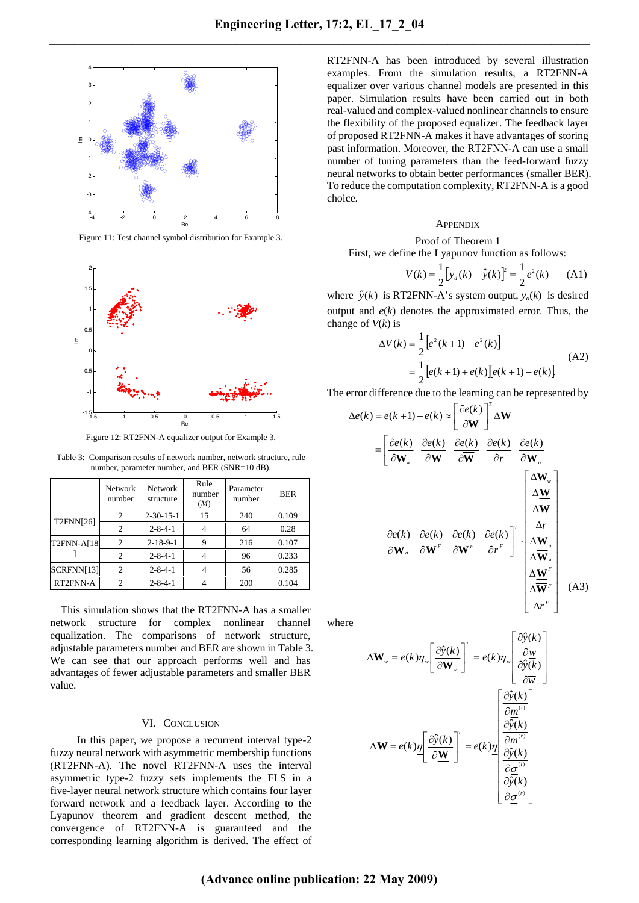

Figure 11: Test channel symbol distribution for Example 3.



Figure 12: RT2FNN-A equalizer output for Example 3.

Table 3: Comparison results of network number, network structure, rule number, parameter number, and BER (SNR=10 dB).

|                  | Network<br>number           | Network<br>structure | Rule<br>number<br>(M) | Parameter<br>number | <b>BER</b> |
|------------------|-----------------------------|----------------------|-----------------------|---------------------|------------|
| <b>T2FNN[26]</b> | $\overline{c}$              | $2 - 30 - 15 - 1$    | 15                    | 240                 | 0.109      |
|                  | $\overline{c}$              | $2 - 8 - 4 - 1$      |                       | 64                  | 0.28       |
| T2FNN-A[18]      | $\overline{c}$              | $2 - 18 - 9 - 1$     | 9                     | 216                 | 0.107      |
|                  | 2                           | $2 - 8 - 4 - 1$      |                       | 96                  | 0.233      |
| SCRFNN[13]       | $\overline{c}$              | $2 - 8 - 4 - 1$      |                       | 56                  | 0.285      |
| RT2FNN-A         | $\mathcal{D}_{\mathcal{A}}$ | $2 - 8 - 4 - 1$      |                       | 200                 | 0.104      |

This simulation shows that the RT2FNN-A has a smaller network structure for complex nonlinear channel equalization. The comparisons of network structure, adjustable parameters number and BER are shown in Table 3. We can see that our approach performs well and has advantages of fewer adjustable parameters and smaller BER value.

## VI. CONCLUSION

In this paper, we propose a recurrent interval type-2 fuzzy neural network with asymmetric membership functions (RT2FNN-A). The novel RT2FNN-A uses the interval asymmetric type-2 fuzzy sets implements the FLS in a five-layer neural network structure which contains four layer forward network and a feedback layer. According to the Lyapunov theorem and gradient descent method, the convergence of RT2FNN-A is guaranteed and the corresponding learning algorithm is derived. The effect of

RT2FNN-A has been introduced by several illustration examples. From the simulation results, a RT2FNN-A equalizer over various channel models are presented in this paper. Simulation results have been carried out in both real-valued and complex-valued nonlinear channels to ensure the flexibility of the proposed equalizer. The feedback layer of proposed RT2FNN-A makes it have advantages of storing past information. Moreover, the RT2FNN-A can use a small number of tuning parameters than the feed-forward fuzzy neural networks to obtain better performances (smaller BER). To reduce the computation complexity, RT2FNN-A is a good choice.

#### **APPENDIX**

Proof of Theorem 1

First, we define the Lyapunov function as follows:

$$
V(k) = \frac{1}{2} [y_a(k) - \hat{y}(k)]^2 = \frac{1}{2} e^2(k)
$$
 (A1)

where  $\hat{y}(k)$  is RT2FNN-A's system output,  $y_d(k)$  is desired output and *e*(*k*) denotes the approximated error. Thus, the change of *V*(*k*) is

$$
\Delta V(k) = \frac{1}{2} \Big[ e^{2} (k+1) - e^{2} (k) \Big]
$$
  
= 
$$
\frac{1}{2} \Big[ e(k+1) + e(k) \Big] \Big[ e(k+1) - e(k) \Big]
$$
 (A2)

The error difference due to the learning can be represented by

$$
\Delta e(k) = e(k+1) - e(k) \approx \left[\frac{\partial e(k)}{\partial \mathbf{W}}\right]^T \Delta \mathbf{W}
$$
  
\n
$$
= \left[\frac{\partial e(k)}{\partial \mathbf{W}_w} \frac{\partial e(k)}{\partial \mathbf{W}} \frac{\partial e(k)}{\partial \mathbf{W}} \frac{\partial e(k)}{\partial \mathbf{r}} \frac{\partial e(k)}{\partial \mathbf{r}} \frac{\partial e(k)}{\partial \mathbf{W}_a} \right]
$$
  
\n
$$
\frac{\partial e(k)}{\partial \mathbf{W}_a} \frac{\partial e(k)}{\partial \mathbf{W}^F} \frac{\partial e(k)}{\partial \mathbf{W}^F} \frac{\partial e(k)}{\partial \mathbf{r}} \right]^T \cdot \begin{bmatrix} \Delta \mathbf{W}_w \\ \Delta \mathbf{W} \\ \Delta \mathbf{W} \\ \Delta \mathbf{W}^a \\ \Delta \mathbf{W}^F \\ \Delta \mathbf{W}^F \\ \Delta \mathbf{W}^F \\ \Delta \mathbf{W}^F \\ \Delta \mathbf{W}^F \end{bmatrix} (A3)
$$

where

$$
\Delta \mathbf{W}_{w} = e(k)\eta_{w} \left[ \frac{\partial \hat{y}(k)}{\partial \mathbf{W}_{w}} \right]^{T} = e(k)\eta_{w} \left[ \frac{\partial \hat{y}(k)}{\partial \mathbf{w}} \frac{\partial \hat{y}(k)}{\partial \mathbf{w}} \right]
$$

$$
\Delta \underline{\mathbf{W}} = e(k)\underline{\eta} \left[ \frac{\partial \hat{y}(k)}{\partial \underline{\mathbf{W}}} \right]^{T} = e(k)\underline{\eta} \left[ \begin{array}{c} \frac{\partial \hat{y}(k)}{\partial \mathbf{w}} \\ \frac{\partial \hat{y}(k)}{\partial \mathbf{w}} \\ \frac{\partial \hat{y}(k)}{\partial \mathbf{w}} \\ \frac{\partial \hat{y}(k)}{\partial \mathbf{w}} \\ \frac{\partial \hat{y}(k)}{\partial \underline{\phi}^{(i)}} \\ \frac{\partial \hat{y}(k)}{\partial \underline{\phi}^{(i)}} \end{array} \right]
$$

⎥ ⎥ ⎥ ⎥

⎤

 $\overline{a}$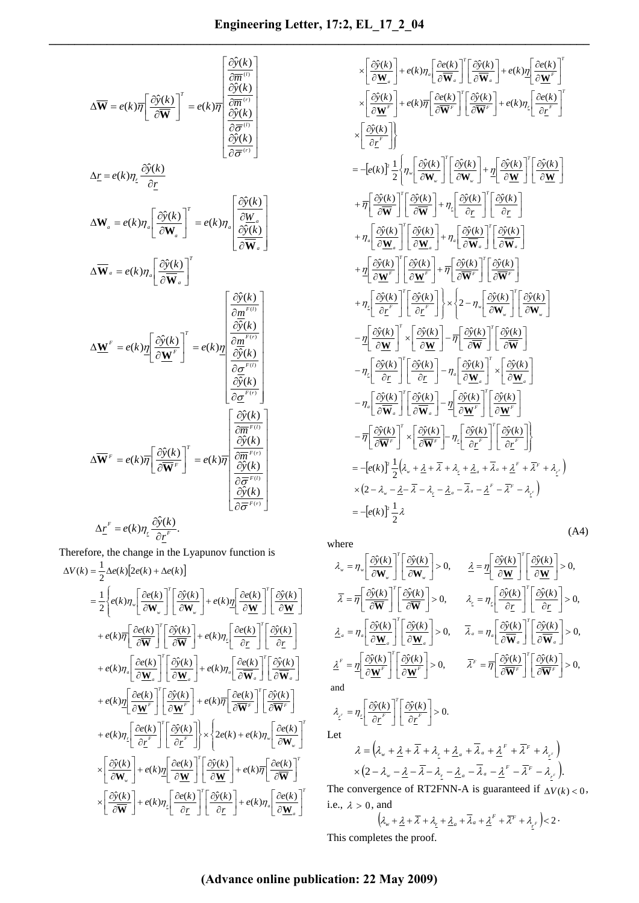$$
\Delta \overline{\mathbf{W}} = e(k)\overline{\eta} \left[ \frac{\partial \hat{y}(k)}{\partial \overline{\mathbf{W}}} \right]^T = e(k)\overline{\eta} \left[ \frac{\frac{\partial \hat{y}(k)}{\partial \overline{\eta}}}{\frac{\partial \hat{y}(k)}{\partial \overline{\sigma}}}\right]
$$
\n
$$
\Delta \underline{r} = e(k)\eta_z \frac{\partial \hat{y}(k)}{\partial \underline{r}} \left[ \frac{\frac{\partial \hat{y}(k)}{\partial \overline{\sigma}}}{\frac{\partial \overline{y}(k)}{\partial \overline{\sigma}}}\right]
$$
\n
$$
\Delta \overline{\mathbf{W}}_a = e(k)\eta_a \left[ \frac{\frac{\partial \hat{y}(k)}{\partial \mathbf{W}_a}}{\frac{\partial \overline{\mathbf{W}}_a}} \right]^T = e(k)\eta_a \left[ \frac{\frac{\partial \hat{y}(k)}{\partial \overline{\mathbf{W}}_a}}{\frac{\partial \hat{y}(k)}{\partial \overline{\mathbf{W}}_a}} \right]
$$
\n
$$
\Delta \overline{\mathbf{W}}_a = e(k)\eta_a \left[ \frac{\frac{\partial \hat{y}(k)}{\partial \overline{\mathbf{W}}_a}}{\frac{\partial \overline{\mathbf{W}}_a^F}} \right]^T = e(k)\eta \left[ \begin{array}{c} \frac{\frac{\partial \hat{y}(k)}{\partial \overline{\mathbf{W}}_a}}{\frac{\partial \overline{\mathbf{W}}_a^F}}{\frac{\partial \overline{\mathbf{W}}_a^F}}{\frac{\partial \overline{\mathbf{W}}_a^F}}{\frac{\partial \overline{\mathbf{W}}_a^F}}{\frac{\partial \overline{\mathbf{W}}_a^F}}{\frac{\partial \overline{\mathbf{W}}_a^F}}{\frac{\partial \overline{\mathbf{W}}_a^F}}{\frac{\partial \overline{\mathbf{W}}_a^F}} \frac{\frac{\partial \hat{y}(k)}{\partial \overline{\mathbf{W}}_a^F}}{\frac{\partial \overline{\mathbf{W}}_a^F}}{\frac{\partial \overline{\mathbf{W}}_a^F}}{\frac{\partial \overline{\mathbf{W}}_a^F}} \frac{\frac{\partial \hat{y}(k)}{\partial \overline{\mathbf{W}}_a^F}}{\frac{\partial \overline{\mathbf{W}}_a^F}}{\frac{\partial \overline{\mathbf{W}}_a^F}}{\frac{\partial \overline{\mathbf{W}}_a^F}}
$$

Therefore, the change in the Lyapunov function is  $\Delta V(k) = \frac{1}{2} \Delta e(k) \left[ 2e(k) + \Delta e(k) \right]$ *a a T*  $\frac{1}{2} \left| \frac{\partial e(k)}{\partial r} \right| \left| \frac{\partial \hat{y}(k)}{\partial r} \right| + e(k) \eta_a \left| \frac{\partial e(k)}{\partial \mathbf{W}} \right|$  $T \Gamma$   $\sim$   $\cdot$   $\cdot$   $\Gamma$   $\sim$   $\cdot$   $\cdot$   $\Gamma$ <sup> $T$ </sup> *w*  $\mathbb{E} \left[ \int_{0}^{\infty} \right]^{2c(\kappa) + c(\kappa)l_{w}} \delta W_{w}$ *T*  $\frac{1}{2} \left| \frac{\partial e(k)}{\partial r} \right| \left| \frac{\partial \hat{y}(k)}{\partial r} \right| \times \left| 2e(k) + e(k)\eta_* \right| \frac{\partial e(k)}{\partial \mathbf{W}_*}$ *F T*  $F$ <sup>*F*</sup>  $\left| \int \frac{\alpha}{M}$   $\frac{\alpha}{M}$  *F T*  $e(k)\eta\left[\frac{\partial e(k)}{\partial \mathbf{W}^F}\right]\left[\frac{\partial \hat{\mathrm{y}}(k)}{\partial \mathbf{W}^F}\right] + e(k)\overline{\eta}\left[\frac{\partial e(k)}{\partial \overline{\mathbf{W}}^F}\right]\left[\frac{\partial \hat{\mathrm{y}}(k)}{\partial \overline{\mathbf{W}}^F}\right]$ *a T*  $\int_a^b e^{i(\mathbf{k})H_a} \cos \theta \, d\mathbf{w}$ *T*  $e(k)\eta_a \left[ \frac{\partial e(k)}{\partial \mathbf{W}_a} \right] \left[ \frac{\partial \hat{\mathrm{y}}(k)}{\partial \mathbf{W}_a} \right] + e(k)\eta_a \left[ \frac{\partial e(k)}{\partial \mathbf{\overline{W}}_a} \right] \left[ \frac{\partial \hat{\mathrm{y}}(k)}{\partial \mathbf{\overline{W}}_a} \right]$ *T r T T w T*  $e(k)\eta_*\left[\frac{\partial e(k)}{\partial \mathbf{W}_*}\right]\left[\frac{\partial \hat{y}(k)}{\partial \mathbf{W}_*}\right] + e(k)\underline{\eta}\left[\frac{\partial e(k)}{\partial \mathbf{W}}\right]\left[\frac{\partial \hat{y}(k)}{\partial \mathbf{W}_*}\right]$  $\left[\frac{\hat{y}(k)}{\partial \mathbf{W}}\right] + e(k)\eta_z \left[\frac{\partial e(k)}{\partial z}\right] \left[\frac{\partial \hat{y}(k)}{\partial z}\right] + e(k)\eta_a \left[\frac{\partial e(k)}{\partial \mathbf{W}_a}\right]$  $\frac{\partial \hat{y}(k)}{\partial \mathbf{W}_w}$  +  $e(k)\underline{\eta}$   $\frac{\partial e(k)}{\partial \mathbf{W}}$   $\left[\frac{\partial \hat{y}(k)}{\partial \mathbf{W}}\right]$  +  $e(k)\overline{\eta}$   $\frac{\partial e(k)}{\partial \mathbf{W}}$  $e(k)\eta_z\left(\frac{\partial e(k)}{\partial r}\right)$ *r y k*  $e(k)\overline{\eta}\left[\frac{\partial e(k)}{\partial \overline{W}}\right]'\left[\frac{\partial \hat{y}(k)}{\partial \overline{W}}\right] + e(k)\eta_{z}\left[\frac{\partial e(k)}{\partial \underline{r}}\right]'\left[\frac{\partial \hat{y}(k)}{\partial \underline{r}}\right]$  $\mathsf I$ ∂  $\left[\frac{\partial \hat{y}(k)}{\partial \underline{r}}\right] + e(k)\eta_a \left[\frac{\partial}{\partial \underline{r}}\right]$  $\mathsf I$  $\left[\begin{array}{c} \frac{\partial e(k)}{\partial \underline{r}} \end{array}\right] \left[\begin{array}{c} \frac{\partial \hat{y}}{\partial \underline{r}} \end{array}\right]$  $\lfloor$ ∂  $\left[\frac{\partial \hat{y}(k)}{\partial \overline{W}}\right] + e(k)\eta_z \left[\frac{\partial}{\partial \overline{W}}\right]$  $\mathsf I$  $\times \left[ \frac{\partial \hat{y}(k)}{\partial \overline{W}} \right] + e(k) \eta_z \left[ \frac{\partial e(k)}{\partial r} \right] \left[ \frac{\partial \hat{y}(k)}{\partial r} \right] + e(k) \eta_a \left[ \frac{\partial e(k)}{\partial W_a} \right]$ ⎡ ∂  $\left[\frac{\partial \hat{y}(k)}{\partial \underline{W}}\right] + e(k)\overline{\eta} \left[\frac{\partial}{\partial \underline{W}}\right]$  $\lfloor$  $\left[\begin{array}{c} \frac{\partial e(k)}{\partial \mathbf{W}} \end{array}\right] \left[\begin{array}{c} \frac{\partial \hat{y}}{\partial \mathbf{W}} \end{array}\right]$  $\lfloor$  $\left[\frac{\partial \hat{y}(k)}{\partial \mathbf{W}_w}\right] + e(k)\eta \left[\frac{\partial e}{\partial \mathbf{W}_w}\right]$  $\mathsf I$  $\propto \left| \frac{\partial \hat{y}(k)}{\partial \mathbf{W}_w} \right| + e(k) \eta \left| \frac{\partial e(k)}{\partial \mathbf{W}} \right|^{2} \left| \frac{\partial \hat{y}(k)}{\partial \mathbf{W}} \right| + e(k) \overline{\eta} \left[ \frac{\partial e(k)}{\partial \mathbf{W}} \right]$  $\overline{\mathfrak{r}}$ ⎪ ⎨ ⎧  $\left\lfloor \frac{\partial e(k)}{\partial \mathbf{W}_{w}} \right\rfloor$  $\lfloor$  $\times \left\{ 2e(k) + e(k)\eta_* \right\} \frac{\partial}{\partial \xi}$ ⎪⎭  $\overline{\ }$  $\big\}$  $\left\lfloor \frac{\partial \hat{y}(k)}{\partial \underline{r}^F} \right\rfloor$  $\mathsf I$  $\left[\frac{\partial e(k)}{\partial \underline{r}^F}\right]' \left[\frac{\partial \hat{y}}{\partial \overline{\phantom{y}}}\right]$ ⎡ ∂  $+e(k)\eta_z \left| \frac{\partial e(k)}{\partial r^F} \right|^{2} \left| \frac{\partial \hat{y}(k)}{\partial r^F} \right| \times \left| 2e(k) + e(k)\eta_w \right| \frac{\partial e(k)}{\partial \mathbf{W}_w}$  $\lfloor$ ∂ ∂  $\left\lfloor\frac{\partial e(k)}{\partial \overline{\mathbf{W}}^F}\right\rfloor$  $\lfloor$  $\left[\frac{\partial \hat{y}(k)}{\partial \underline{\mathbf{W}}^F}\right] + e(k)\overline{\eta} \left[\frac{\partial}{\partial \underline{\mathbf{W}}^F}\right]$ ⎡  $\left\lfloor \frac{\partial e(k)}{\partial \underline{\mathbf{W}}^F} \right\rfloor \left\lfloor \frac{\partial}{\partial \underline{\mathbf{W}}^F} \right\rfloor$ ⎡ ∂  $+ e(k) \eta \frac{\partial e(k)}{\partial \mathbf{W}^F} \left[ \begin{array}{c} \frac{\partial \hat{y}(k)}{\partial \mathbf{W}^F} \end{array} \right] + e(k) \overline{\eta} \left[ \frac{\partial e(k)}{\partial \overline{\mathbf{W}}^F} \right] \left[ \frac{\partial \hat{y}(k)}{\partial \overline{\mathbf{W}}^F} \right]$  $\mathsf I$ ∂ ∂  $\left\lfloor\frac{\partial e(k)}{\partial \overline{\mathbf{W}}_{a}}\right\rfloor$  $\mathsf I$  $\left[ \frac{\partial \hat{y}(k)}{\partial \underline{W}_a} \right] + e(k) \eta_a \left[ \frac{\partial}{\partial \underline{\theta}} \right]$  $\mathsf I$  $\left\lfloor \frac{\partial e(k)}{\partial \underline{\mathbf{W}}_{a}} \right\rfloor \left\lfloor \frac{\partial}{\partial \underline{\mathbf{W}}_{a}} \right\rfloor$  $\mathsf I$ ∂  $+ e(k)\eta_a \left| \frac{\partial e(k)}{\partial \mathbf{W}_a} \right| \left| \frac{\partial \hat{y}(k)}{\partial \mathbf{W}_a} \right| + e(k)\eta_a \left[ \frac{\partial e(k)}{\partial \mathbf{W}_a} \right] \left[ \frac{\partial \hat{y}(k)}{\partial \mathbf{W}_a} \right]$  $\overline{a}$  $\left[\begin{array}{c} \frac{\partial e(k)}{\partial \underline{r}} \end{array}\right] \left[\begin{array}{c} \frac{\partial \hat{y}}{\partial \underline{r}} \end{array}\right]$ ⎡ ∂  $\left[\frac{\partial \hat{y}(k)}{\partial \overline{W}}\right] + e(k)\eta_z \left[\frac{\partial}{\partial \overline{W}}\right]$  $\mathsf I$ ∂ ∂  $\left\lfloor \frac{\partial e(k)}{\partial \overline{\mathbf{W}}} \right\rfloor$  $\mathsf I$ ∂  $+e(k)\overline{\eta}\left[\frac{\partial e(k)}{\partial \overline{\mathbf{W}}} \right]'\left[\frac{\partial \hat{y}(k)}{\partial \overline{\mathbf{W}}} \right]+e(k)\eta_{z}\left[\frac{\partial e(k)}{\partial r} \right]'\left[\frac{\partial \hat{y}(k)}{\partial r}\right]$  $\overline{\mathfrak{r}}$ ⎪ ⎨  $\sqrt{ }$  $\left\lfloor \frac{\partial \hat{y}(k)}{\partial \mathbf{W}} \right\rfloor$  $\lfloor$  $\left[\begin{array}{c} \frac{\partial e(k)}{\partial \mathbf{W}} \end{array}\right] \left[\begin{array}{c} \frac{\partial \hat{\mathbf{y}}}{\partial \mathbf{W}} \end{array}\right]$  $\lfloor$  $\left[\frac{\partial \hat{y}(k)}{\partial \mathbf{W}_{w}}\right] + e(k) \eta \left[\frac{\partial e}{\partial \mathbf{W}_{w}}\right]$ ⎡  $\left[\begin{array}{c} \frac{\partial e(k)}{\partial \mathbf{W}_w} \end{array}\right] \left[\begin{array}{c} \frac{\partial}{\partial \mathbf{W}_w} \end{array}\right]$ ⎡  $=\frac{1}{2}\left\{e(k)\eta_{w}\left|\frac{\partial e(k)}{\partial \mathbf{W}_{w}}\right|\left|\frac{\partial \hat{y}(k)}{\partial \mathbf{W}_{w}}\right|+e(k)\eta\left|\frac{\partial e(k)}{\partial \mathbf{W}}\right|\right|\frac{\partial \hat{y}(k)}{\partial \mathbf{W}_{w}}$ 

$$
\times \left[ \frac{\partial \hat{y}(k)}{\partial \mathbf{W}_{a}} \right] + e(k) \eta_{a} \left[ \frac{\partial e(k)}{\partial \mathbf{W}_{a}} \right]^{T} \left[ \frac{\partial \hat{y}(k)}{\partial \mathbf{W}_{a}} \right] + e(k) \eta_{a} \left[ \frac{\partial e(k)}{\partial \mathbf{W}^{r}} \right]^{T}
$$
\n
$$
\times \left[ \frac{\partial \hat{y}(k)}{\partial \mathbf{W}^{r}} \right] + e(k) \eta_{a} \left[ \frac{\partial e(k)}{\partial \mathbf{W}^{r}} \right]^{T} \left[ \frac{\partial \hat{y}(k)}{\partial \mathbf{W}^{r}} \right] + e(k) \eta_{c} \left[ \frac{\partial e(k)}{\partial \mathbf{r}^{r}} \right]^{T}
$$
\n
$$
\times \left[ \frac{\partial \hat{y}(k)}{\partial \mathbf{r}^{r}} \right]
$$
\n
$$
= -[e(k)]^{2} \frac{1}{2} \left\{ \eta_{v} \left[ \frac{\partial \hat{y}(k)}{\partial \mathbf{W}^{v}} \right]^{T} \left[ \frac{\partial \hat{y}(k)}{\partial \mathbf{W}^{v}} \right] + \eta_{a} \left[ \frac{\partial \hat{y}(k)}{\partial \mathbf{W}} \right]^{T} \left[ \frac{\partial \hat{y}(k)}{\partial \mathbf{r}^{r}} \right]^{T}
$$
\n
$$
+ \eta_{a} \left[ \frac{\partial \hat{y}(k)}{\partial \mathbf{W}^{r}} \right]^{T} \left[ \frac{\partial \hat{y}(k)}{\partial \mathbf{W}^{r}} \right] + \eta_{a} \left[ \frac{\partial \hat{y}(k)}{\partial \mathbf{W}^{r}} \right]^{T} \left[ \frac{\partial \hat{y}(k)}{\partial \mathbf{W}^{r}} \right]
$$
\n
$$
+ \eta_{c} \left[ \frac{\partial \hat{y}(k)}{\partial \mathbf{W}^{r}} \right]^{T} \left[ \frac{\partial \hat{y}(k)}{\partial \mathbf{W}^{r}} \right] + \eta_{c} \left[ \frac{\partial \hat{y}(k)}{\partial \mathbf{W}^{r}} \right]^{T} \left[ \frac{\partial \hat{y}(k)}{\partial \mathbf{W}^{r}} \right]
$$
\n
$$
+ \eta_{c} \left[ \frac{\
$$

where

$$
\lambda_{w} = \eta_{w} \left[ \frac{\partial \hat{y}(k)}{\partial \mathbf{W}_{w}} \right]^{T} \left[ \frac{\partial \hat{y}(k)}{\partial \mathbf{W}_{w}} \right] > 0, \qquad \underline{\lambda} = \eta \left[ \frac{\partial \hat{y}(k)}{\partial \mathbf{W}} \right]^{T} \left[ \frac{\partial \hat{y}(k)}{\partial \mathbf{W}} \right] > 0, \n\overline{\lambda} = \overline{\eta} \left[ \frac{\partial \hat{y}(k)}{\partial \mathbf{W}} \right]^{T} \left[ \frac{\partial \hat{y}(k)}{\partial \mathbf{W}} \right] > 0, \qquad \lambda_{\underline{r}} = \eta_{\underline{r}} \left[ \frac{\partial \hat{y}(k)}{\partial \underline{r}} \right]^{T} \left[ \frac{\partial \hat{y}(k)}{\partial \underline{r}} \right] > 0, \n\underline{\lambda}_{a} = \eta_{a} \left[ \frac{\partial \hat{y}(k)}{\partial \mathbf{W}_{a}} \right]^{T} \left[ \frac{\partial \hat{y}(k)}{\partial \mathbf{W}_{a}} \right] > 0, \qquad \overline{\lambda}_{a} = \eta_{a} \left[ \frac{\partial \hat{y}(k)}{\partial \mathbf{W}_{a}} \right]^{T} \left[ \frac{\partial \hat{y}(k)}{\partial \mathbf{W}_{a}} \right] > 0, \n\underline{\lambda}_{\underline{r}}^{F} = \eta \left[ \frac{\partial \hat{y}(k)}{\partial \mathbf{W}^{F}} \right]^{T} \left[ \frac{\partial \hat{y}(k)}{\partial \mathbf{W}^{F}} \right] > 0, \qquad \overline{\lambda}^{F} = \overline{\eta} \left[ \frac{\partial \hat{y}(k)}{\partial \mathbf{W}^{F}} \right]^{T} \left[ \frac{\partial \hat{y}(k)}{\partial \mathbf{W}^{F}} \right] > 0, \n\text{and} \n\lambda_{\underline{r}}^{F} = \eta_{\underline{r}} \left[ \frac{\partial \hat{y}(k)}{\partial \underline{r}^{F}} \right]^{T} \left[ \frac{\partial \hat{y}(k)}{\partial \underline{r}^{F}} \right] > 0.
$$
\nLet

$$
\lambda = (\lambda_w + \underline{\lambda} + \overline{\lambda} + \lambda_z + \underline{\lambda}_a + \overline{\lambda}_a + \underline{\lambda}^F + \overline{\lambda}^F + \lambda_z)
$$
  
 
$$
\times (2 - \lambda_w - \underline{\lambda} - \overline{\lambda} - \lambda_z - \underline{\lambda}_a - \overline{\lambda}_a - \underline{\lambda}^F - \overline{\lambda}^F - \lambda_z)
$$

The convergence of RT2FNN-A is guaranteed if  $\Delta V(k) < 0$ , i.e.,  $\lambda > 0$ , and

 $\left(\lambda_w + \underline{\lambda} + \overline{\lambda} + \lambda_z + \underline{\lambda}_a + \overline{\lambda}_a + \underline{\lambda}^F + \overline{\lambda}^F + \lambda_{r^F}\right) < 2$ 

This completes the proof.

# **(Advance online publication: 22 May 2009)**

*T*

*T*